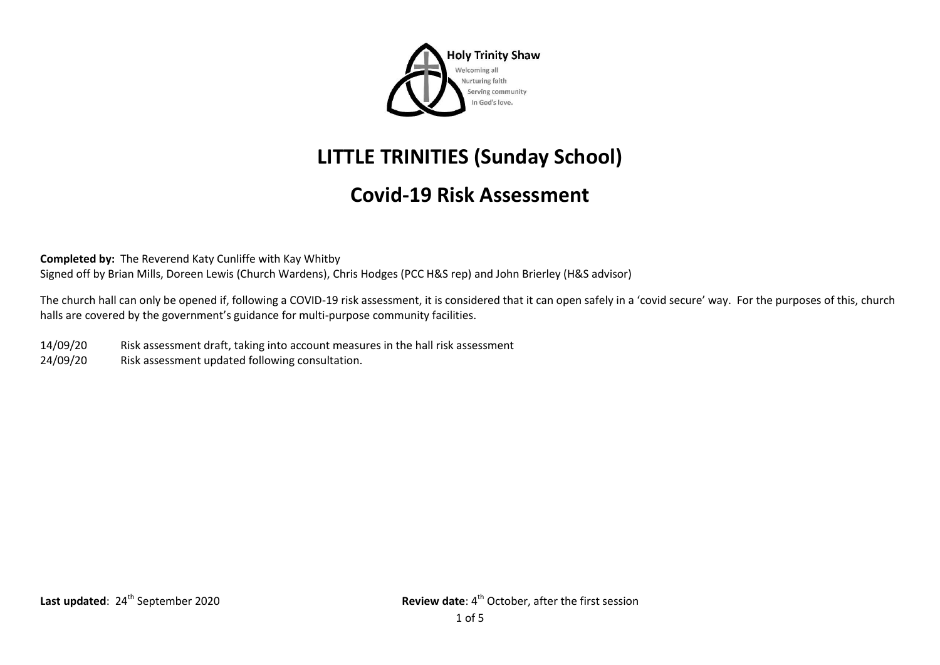

## **LITTLE TRINITIES (Sunday School)**

## **Covid-19 Risk Assessment**

**Completed by:** The Reverend Katy Cunliffe with Kay Whitby Signed off by Brian Mills, Doreen Lewis (Church Wardens), Chris Hodges (PCC H&S rep) and John Brierley (H&S advisor)

The church hall can only be opened if, following a COVID-19 risk assessment, it is considered that it can open safely in a 'covid secure' way. For the purposes of this, church halls are covered by the government's guidance for multi-purpose community facilities.

- 14/09/20 Risk assessment draft, taking into account measures in the hall risk assessment
- 24/09/20 Risk assessment updated following consultation.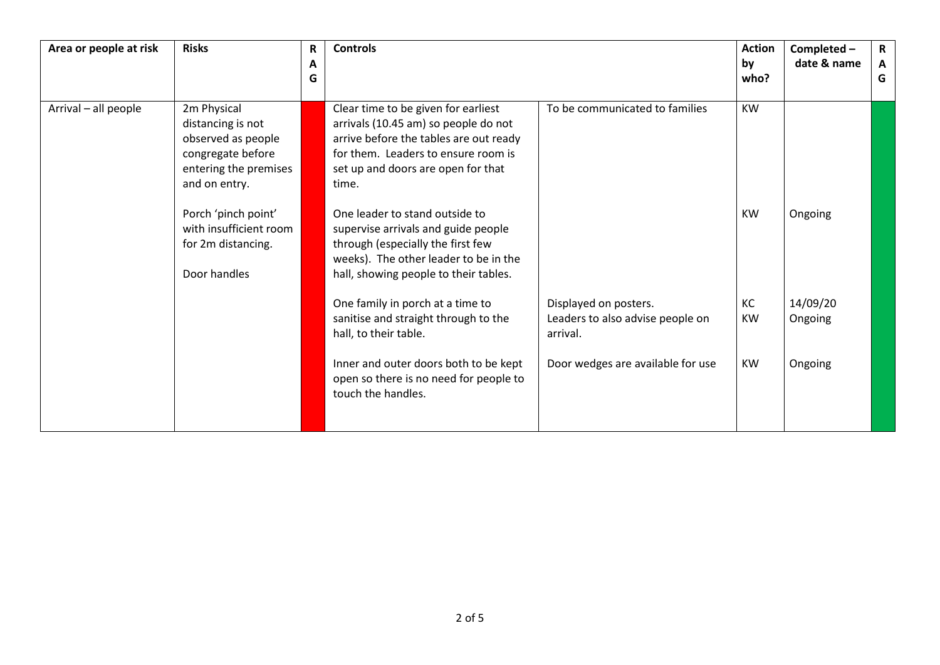| Area or people at risk | <b>Risks</b>                                                                                                                                 | R<br>A<br>G | <b>Controls</b>                                                                                                                                                                                                                               |                                                                       | <b>Action</b><br>by<br>who? | Completed -<br>date & name | $\mathsf{R}$<br>$\mathbf{A}$<br>G |
|------------------------|----------------------------------------------------------------------------------------------------------------------------------------------|-------------|-----------------------------------------------------------------------------------------------------------------------------------------------------------------------------------------------------------------------------------------------|-----------------------------------------------------------------------|-----------------------------|----------------------------|-----------------------------------|
| Arrival - all people   | 2m Physical<br>distancing is not<br>observed as people<br>congregate before<br>entering the premises<br>and on entry.<br>Porch 'pinch point' |             | Clear time to be given for earliest<br>arrivals (10.45 am) so people do not<br>arrive before the tables are out ready<br>for them. Leaders to ensure room is<br>set up and doors are open for that<br>time.<br>One leader to stand outside to | To be communicated to families                                        | KW<br><b>KW</b>             | Ongoing                    |                                   |
|                        | with insufficient room<br>for 2m distancing.<br>Door handles                                                                                 |             | supervise arrivals and guide people<br>through (especially the first few<br>weeks). The other leader to be in the<br>hall, showing people to their tables.                                                                                    |                                                                       |                             |                            |                                   |
|                        |                                                                                                                                              |             | One family in porch at a time to<br>sanitise and straight through to the<br>hall, to their table.                                                                                                                                             | Displayed on posters.<br>Leaders to also advise people on<br>arrival. | KC<br><b>KW</b>             | 14/09/20<br>Ongoing        |                                   |
|                        |                                                                                                                                              |             | Inner and outer doors both to be kept<br>open so there is no need for people to<br>touch the handles.                                                                                                                                         | Door wedges are available for use                                     | <b>KW</b>                   | Ongoing                    |                                   |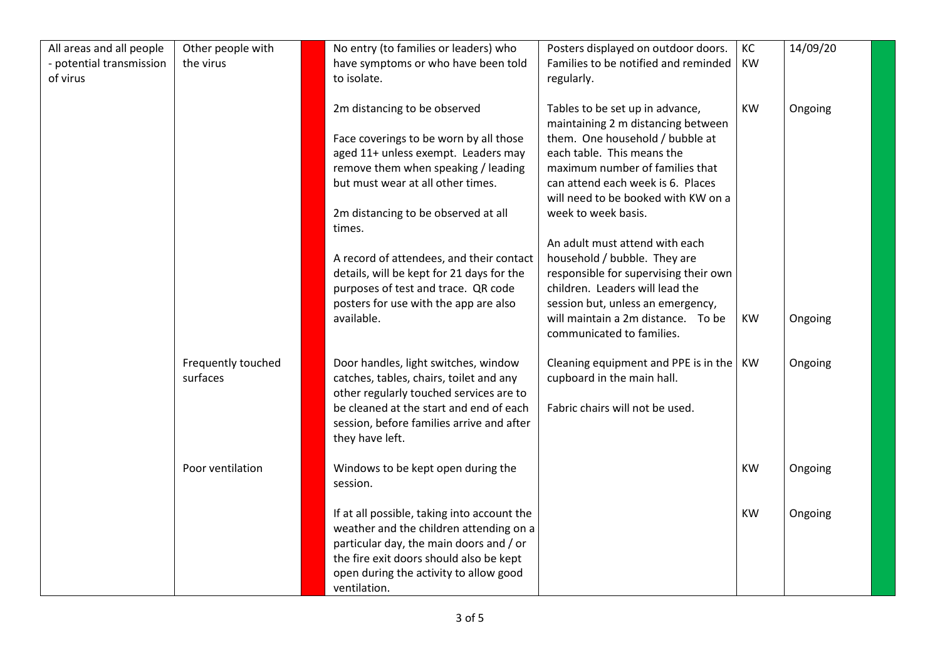| All areas and all people<br>- potential transmission<br>of virus | Other people with<br>the virus | No entry (to families or leaders) who<br>have symptoms or who have been told<br>to isolate.                                                                                                                                                                                                                                                                                | Posters displayed on outdoor doors.<br>Families to be notified and reminded<br>regularly.                                                                                                                                                                                                                                                                                                                                  | KC<br><b>KW</b> | 14/09/20 |
|------------------------------------------------------------------|--------------------------------|----------------------------------------------------------------------------------------------------------------------------------------------------------------------------------------------------------------------------------------------------------------------------------------------------------------------------------------------------------------------------|----------------------------------------------------------------------------------------------------------------------------------------------------------------------------------------------------------------------------------------------------------------------------------------------------------------------------------------------------------------------------------------------------------------------------|-----------------|----------|
|                                                                  |                                | 2m distancing to be observed<br>Face coverings to be worn by all those<br>aged 11+ unless exempt. Leaders may<br>remove them when speaking / leading<br>but must wear at all other times.<br>2m distancing to be observed at all<br>times.<br>A record of attendees, and their contact<br>details, will be kept for 21 days for the<br>purposes of test and trace. QR code | Tables to be set up in advance,<br>maintaining 2 m distancing between<br>them. One household / bubble at<br>each table. This means the<br>maximum number of families that<br>can attend each week is 6. Places<br>will need to be booked with KW on a<br>week to week basis.<br>An adult must attend with each<br>household / bubble. They are<br>responsible for supervising their own<br>children. Leaders will lead the | <b>KW</b>       | Ongoing  |
|                                                                  |                                | posters for use with the app are also<br>available.                                                                                                                                                                                                                                                                                                                        | session but, unless an emergency,<br>will maintain a 2m distance. To be<br>communicated to families.                                                                                                                                                                                                                                                                                                                       | KW              | Ongoing  |
|                                                                  | Frequently touched<br>surfaces | Door handles, light switches, window<br>catches, tables, chairs, toilet and any<br>other regularly touched services are to<br>be cleaned at the start and end of each<br>session, before families arrive and after<br>they have left.                                                                                                                                      | Cleaning equipment and PPE is in the $ $ KW<br>cupboard in the main hall.<br>Fabric chairs will not be used.                                                                                                                                                                                                                                                                                                               |                 | Ongoing  |
|                                                                  | Poor ventilation               | Windows to be kept open during the<br>session.                                                                                                                                                                                                                                                                                                                             |                                                                                                                                                                                                                                                                                                                                                                                                                            | <b>KW</b>       | Ongoing  |
|                                                                  |                                | If at all possible, taking into account the<br>weather and the children attending on a<br>particular day, the main doors and / or<br>the fire exit doors should also be kept<br>open during the activity to allow good<br>ventilation.                                                                                                                                     |                                                                                                                                                                                                                                                                                                                                                                                                                            | <b>KW</b>       | Ongoing  |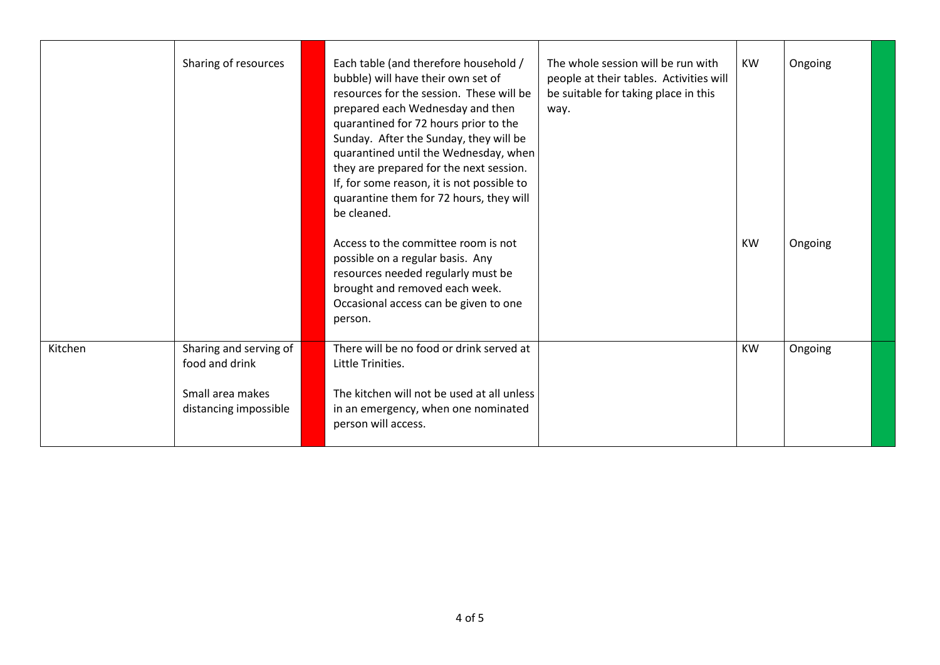|         | Sharing of resources                      | Each table (and therefore household /<br>bubble) will have their own set of<br>resources for the session. These will be<br>prepared each Wednesday and then<br>quarantined for 72 hours prior to the<br>Sunday. After the Sunday, they will be<br>quarantined until the Wednesday, when<br>they are prepared for the next session.<br>If, for some reason, it is not possible to<br>quarantine them for 72 hours, they will<br>be cleaned.<br>Access to the committee room is not<br>possible on a regular basis. Any | The whole session will be run with<br>people at their tables. Activities will<br>be suitable for taking place in this<br>way. | <b>KW</b><br><b>KW</b> | Ongoing<br>Ongoing |  |
|---------|-------------------------------------------|-----------------------------------------------------------------------------------------------------------------------------------------------------------------------------------------------------------------------------------------------------------------------------------------------------------------------------------------------------------------------------------------------------------------------------------------------------------------------------------------------------------------------|-------------------------------------------------------------------------------------------------------------------------------|------------------------|--------------------|--|
|         |                                           | resources needed regularly must be<br>brought and removed each week.<br>Occasional access can be given to one<br>person.                                                                                                                                                                                                                                                                                                                                                                                              |                                                                                                                               |                        |                    |  |
| Kitchen | Sharing and serving of<br>food and drink  | There will be no food or drink served at<br>Little Trinities.                                                                                                                                                                                                                                                                                                                                                                                                                                                         |                                                                                                                               | <b>KW</b>              | Ongoing            |  |
|         | Small area makes<br>distancing impossible | The kitchen will not be used at all unless<br>in an emergency, when one nominated<br>person will access.                                                                                                                                                                                                                                                                                                                                                                                                              |                                                                                                                               |                        |                    |  |